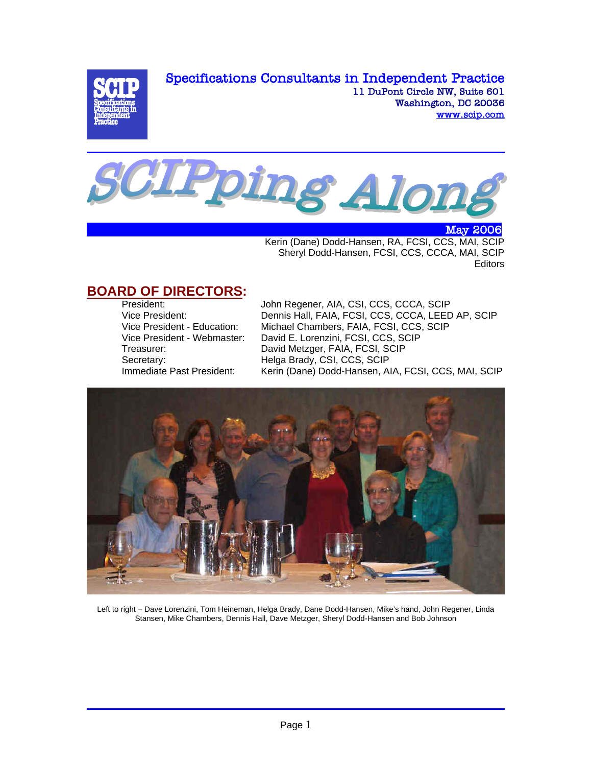Specifications Consultants in Independent Practice



11 DuPont Circle NW, Suite 601 Washington, DC 20036 www.scip.com



 May 2006 Kerin (Dane) Dodd-Hansen, RA, FCSI, CCS, MAI, SCIP Sheryl Dodd-Hansen, FCSI, CCS, CCCA, MAI, SCIP Editors

# **BOARD OF DIRECTORS:**<br>President:

John Regener, AIA, CSI, CCS, CCCA, SCIP Vice President: <br>
Vice President - Education: Michael Chambers. FAIA, FCSI, CCS, SCIP<br>
Vice President - Education: Michael Chambers. FAIA, FCSI, CCS, SCIP Michael Chambers, FAIA, FCSI, CCS, SCIP Vice President - Webmaster: David E. Lorenzini, FCSI, CCS, SCIP Treasurer: David Metzger, FAIA, FCSI, SCIP Secretary: Helga Brady, CSI, CCS, SCIP Immediate Past President: Kerin (Dane) Dodd-Hansen, AIA, FCSI, CCS, MAI, SCIP



Left to right – Dave Lorenzini, Tom Heineman, Helga Brady, Dane Dodd-Hansen, Mike's hand, John Regener, Linda Stansen, Mike Chambers, Dennis Hall, Dave Metzger, Sheryl Dodd-Hansen and Bob Johnson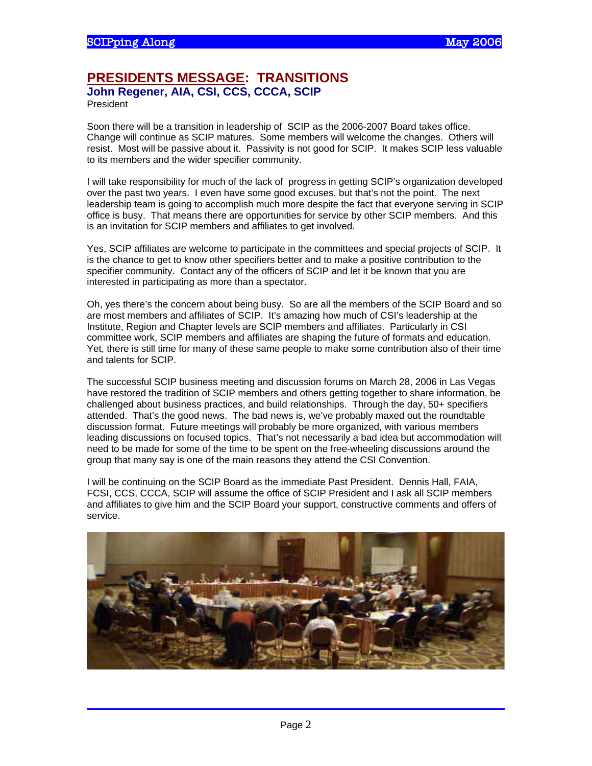#### **PRESIDENTS MESSAGE: TRANSITIONS John Regener, AIA, CSI, CCS, CCCA, SCIP**

President

Soon there will be a transition in leadership of SCIP as the 2006-2007 Board takes office. Change will continue as SCIP matures. Some members will welcome the changes. Others will resist. Most will be passive about it. Passivity is not good for SCIP. It makes SCIP less valuable to its members and the wider specifier community.

I will take responsibility for much of the lack of progress in getting SCIP's organization developed over the past two years. I even have some good excuses, but that's not the point. The next leadership team is going to accomplish much more despite the fact that everyone serving in SCIP office is busy. That means there are opportunities for service by other SCIP members. And this is an invitation for SCIP members and affiliates to get involved.

Yes, SCIP affiliates are welcome to participate in the committees and special projects of SCIP. It is the chance to get to know other specifiers better and to make a positive contribution to the specifier community. Contact any of the officers of SCIP and let it be known that you are interested in participating as more than a spectator.

Oh, yes there's the concern about being busy. So are all the members of the SCIP Board and so are most members and affiliates of SCIP. It's amazing how much of CSI's leadership at the Institute, Region and Chapter levels are SCIP members and affiliates. Particularly in CSI committee work, SCIP members and affiliates are shaping the future of formats and education. Yet, there is still time for many of these same people to make some contribution also of their time and talents for SCIP.

The successful SCIP business meeting and discussion forums on March 28, 2006 in Las Vegas have restored the tradition of SCIP members and others getting together to share information, be challenged about business practices, and build relationships. Through the day, 50+ specifiers attended. That's the good news. The bad news is, we've probably maxed out the roundtable discussion format. Future meetings will probably be more organized, with various members leading discussions on focused topics. That's not necessarily a bad idea but accommodation will need to be made for some of the time to be spent on the free-wheeling discussions around the group that many say is one of the main reasons they attend the CSI Convention.

I will be continuing on the SCIP Board as the immediate Past President. Dennis Hall, FAIA, FCSI, CCS, CCCA, SCIP will assume the office of SCIP President and I ask all SCIP members and affiliates to give him and the SCIP Board your support, constructive comments and offers of service.

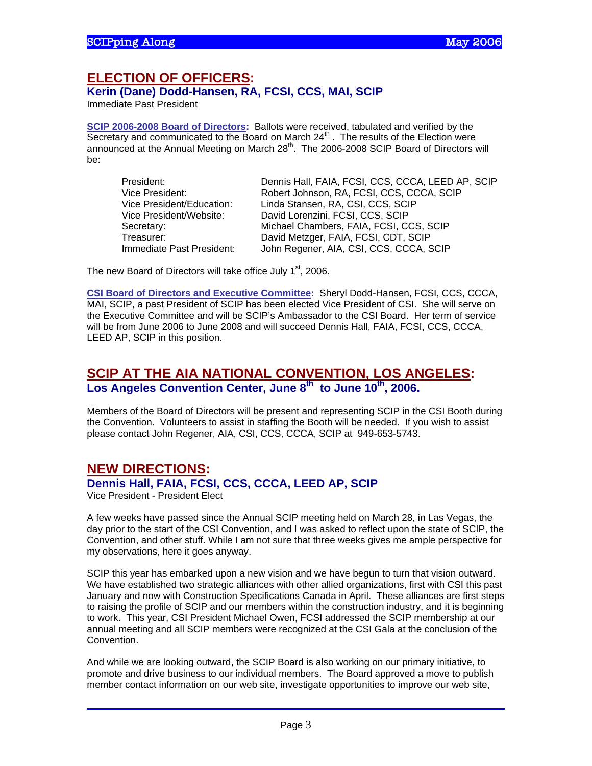# **ELECTION OF OFFICERS:**

**Kerin (Dane) Dodd-Hansen, RA, FCSI, CCS, MAI, SCIP** 

Immediate Past President

**SCIP 2006-2008 Board of Directors:** Ballots were received, tabulated and verified by the Secretary and communicated to the Board on March  $24<sup>th</sup>$ . The results of the Election were announced at the Annual Meeting on March 28<sup>th</sup>. The 2006-2008 SCIP Board of Directors will be:

| President:                | Dennis Hall, FAIA, FCSI, CCS, CCCA, LEED AP, SCIP |
|---------------------------|---------------------------------------------------|
| Vice President:           | Robert Johnson, RA, FCSI, CCS, CCCA, SCIP         |
| Vice President/Education: | Linda Stansen, RA, CSI, CCS, SCIP                 |
| Vice President/Website:   | David Lorenzini, FCSI, CCS, SCIP                  |
| Secretary:                | Michael Chambers, FAIA, FCSI, CCS, SCIP           |
| Treasurer:                | David Metzger, FAIA, FCSI, CDT, SCIP              |
| Immediate Past President: | John Regener, AIA, CSI, CCS, CCCA, SCIP           |

The new Board of Directors will take office July 1<sup>st</sup>, 2006.

**CSI Board of Directors and Executive Committee:** Sheryl Dodd-Hansen, FCSI, CCS, CCCA, MAI, SCIP, a past President of SCIP has been elected Vice President of CSI. She will serve on the Executive Committee and will be SCIP's Ambassador to the CSI Board. Her term of service will be from June 2006 to June 2008 and will succeed Dennis Hall, FAIA, FCSI, CCS, CCCA, LEED AP, SCIP in this position.

## **SCIP AT THE AIA NATIONAL CONVENTION, LOS ANGELES:**  Los Angeles Convention Center, June 8<sup>th</sup> to June 10<sup>th</sup>, 2006.

Members of the Board of Directors will be present and representing SCIP in the CSI Booth during the Convention. Volunteers to assist in staffing the Booth will be needed. If you wish to assist please contact John Regener, AIA, CSI, CCS, CCCA, SCIP at 949-653-5743.

## **NEW DIRECTIONS: Dennis Hall, FAIA, FCSI, CCS, CCCA, LEED AP, SCIP**

Vice President - President Elect

A few weeks have passed since the Annual SCIP meeting held on March 28, in Las Vegas, the day prior to the start of the CSI Convention, and I was asked to reflect upon the state of SCIP, the Convention, and other stuff. While I am not sure that three weeks gives me ample perspective for my observations, here it goes anyway.

SCIP this year has embarked upon a new vision and we have begun to turn that vision outward. We have established two strategic alliances with other allied organizations, first with CSI this past January and now with Construction Specifications Canada in April. These alliances are first steps to raising the profile of SCIP and our members within the construction industry, and it is beginning to work. This year, CSI President Michael Owen, FCSI addressed the SCIP membership at our annual meeting and all SCIP members were recognized at the CSI Gala at the conclusion of the Convention.

And while we are looking outward, the SCIP Board is also working on our primary initiative, to promote and drive business to our individual members. The Board approved a move to publish member contact information on our web site, investigate opportunities to improve our web site,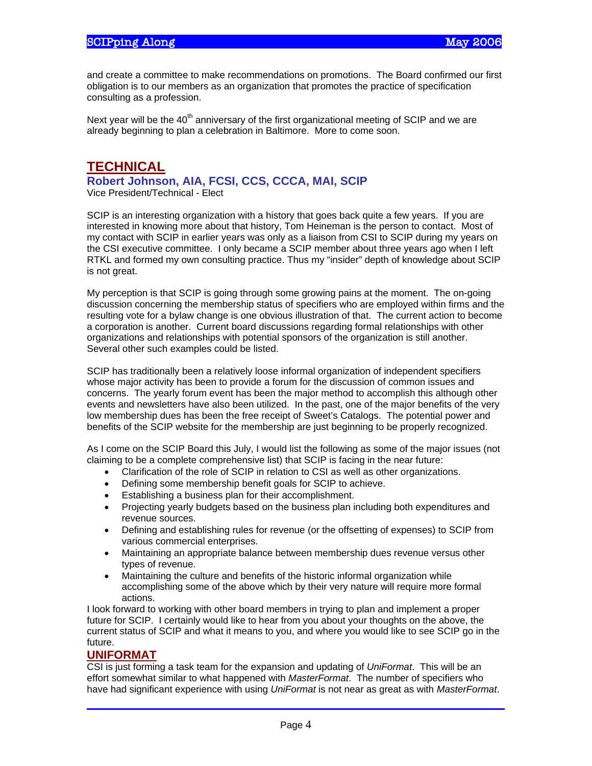and create a committee to make recommendations on promotions. The Board confirmed our first obligation is to our members as an organization that promotes the practice of specification consulting as a profession.

Next year will be the 40<sup>th</sup> anniversary of the first organizational meeting of SCIP and we are already beginning to plan a celebration in Baltimore. More to come soon.

# **TECHNICAL**

**Robert Johnson, AIA, FCSI, CCS, CCCA, MAI, SCIP** 

Vice President/Technical - Elect

SCIP is an interesting organization with a history that goes back quite a few years. If you are interested in knowing more about that history, Tom Heineman is the person to contact. Most of my contact with SCIP in earlier years was only as a liaison from CSI to SCIP during my years on the CSI executive committee. I only became a SCIP member about three years ago when I left RTKL and formed my own consulting practice. Thus my "insider" depth of knowledge about SCIP is not great.

My perception is that SCIP is going through some growing pains at the moment. The on-going discussion concerning the membership status of specifiers who are employed within firms and the resulting vote for a bylaw change is one obvious illustration of that. The current action to become a corporation is another. Current board discussions regarding formal relationships with other organizations and relationships with potential sponsors of the organization is still another. Several other such examples could be listed.

SCIP has traditionally been a relatively loose informal organization of independent specifiers whose major activity has been to provide a forum for the discussion of common issues and concerns. The yearly forum event has been the major method to accomplish this although other events and newsletters have also been utilized. In the past, one of the major benefits of the very low membership dues has been the free receipt of Sweet's Catalogs. The potential power and benefits of the SCIP website for the membership are just beginning to be properly recognized.

As I come on the SCIP Board this July, I would list the following as some of the major issues (not claiming to be a complete comprehensive list) that SCIP is facing in the near future:

- Clarification of the role of SCIP in relation to CSI as well as other organizations.
- Defining some membership benefit goals for SCIP to achieve.
- Establishing a business plan for their accomplishment.
- Projecting yearly budgets based on the business plan including both expenditures and revenue sources.
- Defining and establishing rules for revenue (or the offsetting of expenses) to SCIP from various commercial enterprises.
- Maintaining an appropriate balance between membership dues revenue versus other types of revenue.
- Maintaining the culture and benefits of the historic informal organization while accomplishing some of the above which by their very nature will require more formal actions.

I look forward to working with other board members in trying to plan and implement a proper future for SCIP. I certainly would like to hear from you about your thoughts on the above, the current status of SCIP and what it means to you, and where you would like to see SCIP go in the future.

#### **UNIFORMAT**

CSI is just forming a task team for the expansion and updating of *UniFormat*. This will be an effort somewhat similar to what happened with *MasterFormat*. The number of specifiers who have had significant experience with using *UniFormat* is not near as great as with *MasterFormat*.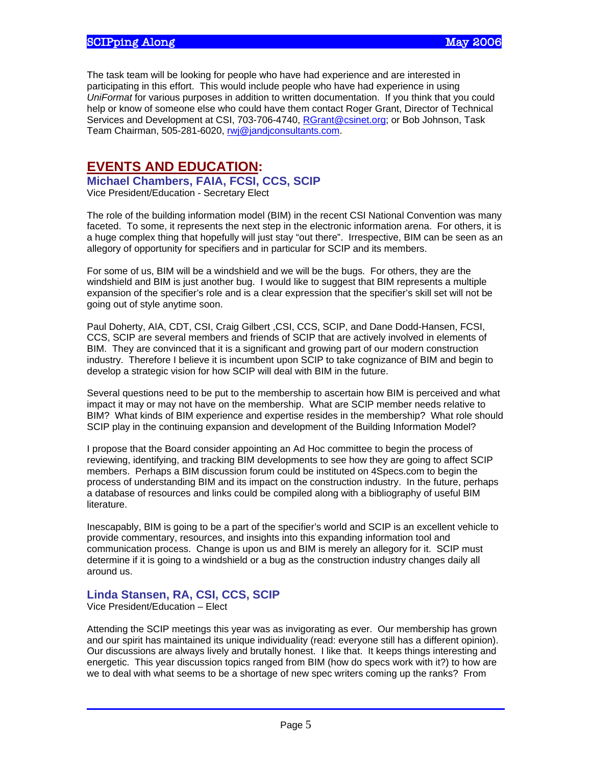The task team will be looking for people who have had experience and are interested in participating in this effort. This would include people who have had experience in using *UniFormat* for various purposes in addition to written documentation. If you think that you could help or know of someone else who could have them contact Roger Grant, Director of Technical Services and Development at CSI, 703-706-4740, RGrant@csinet.org; or Bob Johnson, Task Team Chairman, 505-281-6020, rwj@jandjconsultants.com.

## **EVENTS AND EDUCATION:**

**Michael Chambers, FAIA, FCSI, CCS, SCIP** 

Vice President/Education - Secretary Elect

The role of the building information model (BIM) in the recent CSI National Convention was many faceted. To some, it represents the next step in the electronic information arena. For others, it is a huge complex thing that hopefully will just stay "out there". Irrespective, BIM can be seen as an allegory of opportunity for specifiers and in particular for SCIP and its members.

For some of us, BIM will be a windshield and we will be the bugs. For others, they are the windshield and BIM is just another bug. I would like to suggest that BIM represents a multiple expansion of the specifier's role and is a clear expression that the specifier's skill set will not be going out of style anytime soon.

Paul Doherty, AIA, CDT, CSI, Craig Gilbert ,CSI, CCS, SCIP, and Dane Dodd-Hansen, FCSI, CCS, SCIP are several members and friends of SCIP that are actively involved in elements of BIM. They are convinced that it is a significant and growing part of our modern construction industry. Therefore I believe it is incumbent upon SCIP to take cognizance of BIM and begin to develop a strategic vision for how SCIP will deal with BIM in the future.

Several questions need to be put to the membership to ascertain how BIM is perceived and what impact it may or may not have on the membership. What are SCIP member needs relative to BIM? What kinds of BIM experience and expertise resides in the membership? What role should SCIP play in the continuing expansion and development of the Building Information Model?

I propose that the Board consider appointing an Ad Hoc committee to begin the process of reviewing, identifying, and tracking BIM developments to see how they are going to affect SCIP members. Perhaps a BIM discussion forum could be instituted on 4Specs.com to begin the process of understanding BIM and its impact on the construction industry. In the future, perhaps a database of resources and links could be compiled along with a bibliography of useful BIM literature.

Inescapably, BIM is going to be a part of the specifier's world and SCIP is an excellent vehicle to provide commentary, resources, and insights into this expanding information tool and communication process. Change is upon us and BIM is merely an allegory for it. SCIP must determine if it is going to a windshield or a bug as the construction industry changes daily all around us.

#### **Linda Stansen, RA, CSI, CCS, SCIP**

Vice President/Education – Elect

Attending the SCIP meetings this year was as invigorating as ever. Our membership has grown and our spirit has maintained its unique individuality (read: everyone still has a different opinion). Our discussions are always lively and brutally honest. I like that. It keeps things interesting and energetic. This year discussion topics ranged from BIM (how do specs work with it?) to how are we to deal with what seems to be a shortage of new spec writers coming up the ranks? From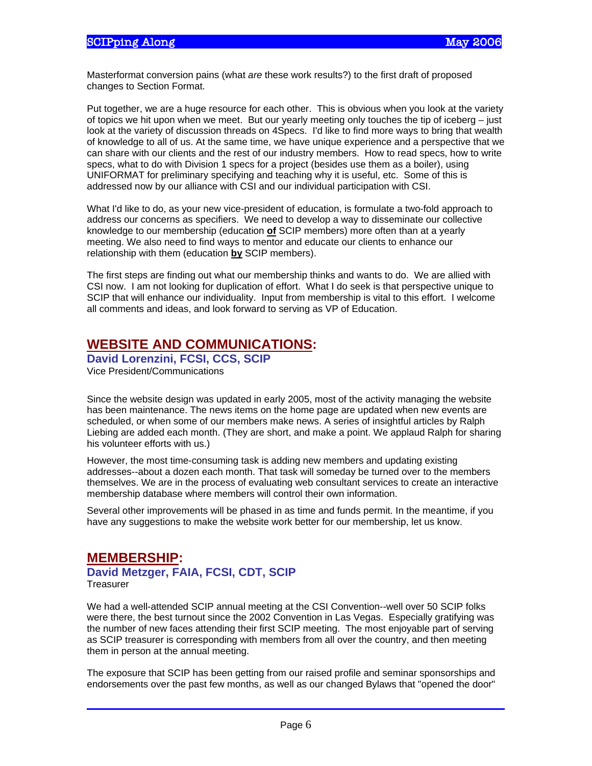Masterformat conversion pains (what *are* these work results?) to the first draft of proposed changes to Section Format.

Put together, we are a huge resource for each other. This is obvious when you look at the variety of topics we hit upon when we meet. But our yearly meeting only touches the tip of iceberg – just look at the variety of discussion threads on 4Specs. I'd like to find more ways to bring that wealth of knowledge to all of us. At the same time, we have unique experience and a perspective that we can share with our clients and the rest of our industry members. How to read specs, how to write specs, what to do with Division 1 specs for a project (besides use them as a boiler), using UNIFORMAT for preliminary specifying and teaching why it is useful, etc. Some of this is addressed now by our alliance with CSI and our individual participation with CSI.

What I'd like to do, as your new vice-president of education, is formulate a two-fold approach to address our concerns as specifiers. We need to develop a way to disseminate our collective knowledge to our membership (education **of** SCIP members) more often than at a yearly meeting. We also need to find ways to mentor and educate our clients to enhance our relationship with them (education **by** SCIP members).

The first steps are finding out what our membership thinks and wants to do. We are allied with CSI now. I am not looking for duplication of effort. What I do seek is that perspective unique to SCIP that will enhance our individuality. Input from membership is vital to this effort. I welcome all comments and ideas, and look forward to serving as VP of Education.

# **WEBSITE AND COMMUNICATIONS:**

**David Lorenzini, FCSI, CCS, SCIP**  Vice President/Communications

Since the website design was updated in early 2005, most of the activity managing the website has been maintenance. The news items on the home page are updated when new events are scheduled, or when some of our members make news. A series of insightful articles by Ralph Liebing are added each month. (They are short, and make a point. We applaud Ralph for sharing his volunteer efforts with us.)

However, the most time-consuming task is adding new members and updating existing addresses--about a dozen each month. That task will someday be turned over to the members themselves. We are in the process of evaluating web consultant services to create an interactive membership database where members will control their own information.

Several other improvements will be phased in as time and funds permit. In the meantime, if you have any suggestions to make the website work better for our membership, let us know.

## **MEMBERSHIP:**

**David Metzger, FAIA, FCSI, CDT, SCIP Treasurer** 

We had a well-attended SCIP annual meeting at the CSI Convention--well over 50 SCIP folks were there, the best turnout since the 2002 Convention in Las Vegas. Especially gratifying was the number of new faces attending their first SCIP meeting. The most enjoyable part of serving as SCIP treasurer is corresponding with members from all over the country, and then meeting them in person at the annual meeting.

The exposure that SCIP has been getting from our raised profile and seminar sponsorships and endorsements over the past few months, as well as our changed Bylaws that "opened the door"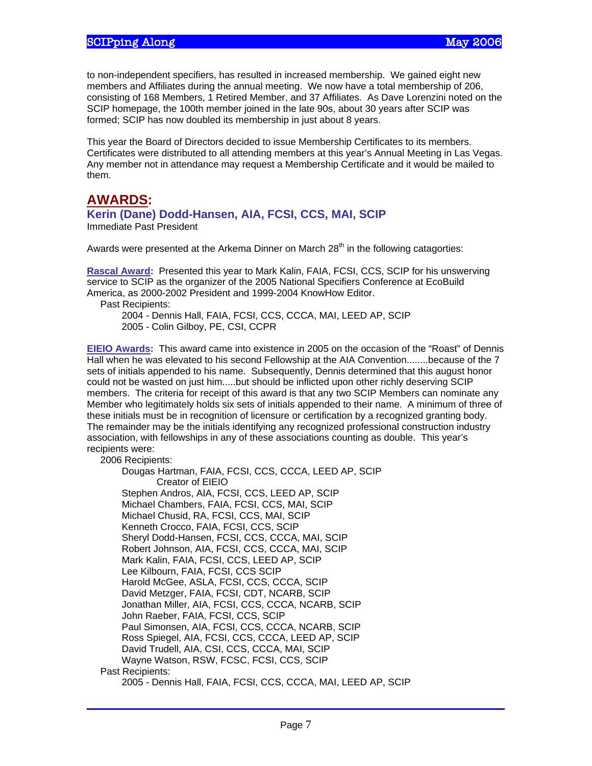to non-independent specifiers, has resulted in increased membership. We gained eight new members and Affiliates during the annual meeting. We now have a total membership of 206, consisting of 168 Members, 1 Retired Member, and 37 Affiliates. As Dave Lorenzini noted on the SCIP homepage, the 100th member joined in the late 90s, about 30 years after SCIP was formed; SCIP has now doubled its membership in just about 8 years.

This year the Board of Directors decided to issue Membership Certificates to its members. Certificates were distributed to all attending members at this year's Annual Meeting in Las Vegas. Any member not in attendance may request a Membership Certificate and it would be mailed to them.

## **AWARDS:**

#### **Kerin (Dane) Dodd-Hansen, AIA, FCSI, CCS, MAI, SCIP**

Immediate Past President

Awards were presented at the Arkema Dinner on March  $28<sup>th</sup>$  in the following catagorties:

**Rascal Award:** Presented this year to Mark Kalin, FAIA, FCSI, CCS, SCIP for his unswerving service to SCIP as the organizer of the 2005 National Specifiers Conference at EcoBuild America, as 2000-2002 President and 1999-2004 KnowHow Editor.

Past Recipients:

 2004 - Dennis Hall, FAIA, FCSI, CCS, CCCA, MAI, LEED AP, SCIP 2005 - Colin Gilboy, PE, CSI, CCPR

**EIEIO Awards:** This award came into existence in 2005 on the occasion of the "Roast" of Dennis Hall when he was elevated to his second Fellowship at the AIA Convention........because of the 7 sets of initials appended to his name. Subsequently, Dennis determined that this august honor could not be wasted on just him.....but should be inflicted upon other richly deserving SCIP members. The criteria for receipt of this award is that any two SCIP Members can nominate any Member who legitimately holds six sets of initials appended to their name. A minimum of three of these initials must be in recognition of licensure or certification by a recognized granting body. The remainder may be the initials identifying any recognized professional construction industry association, with fellowships in any of these associations counting as double. This year's recipients were:

#### 2006 Recipients:

 Dougas Hartman, FAIA, FCSI, CCS, CCCA, LEED AP, SCIP Creator of EIEIO Stephen Andros, AIA, FCSI, CCS, LEED AP, SCIP Michael Chambers, FAIA, FCSI, CCS, MAI, SCIP Michael Chusid, RA, FCSI, CCS, MAI, SCIP Kenneth Crocco, FAIA, FCSI, CCS, SCIP Sheryl Dodd-Hansen, FCSI, CCS, CCCA, MAI, SCIP Robert Johnson, AIA, FCSI, CCS, CCCA, MAI, SCIP Mark Kalin, FAIA, FCSI, CCS, LEED AP, SCIP Lee Kilbourn, FAIA, FCSI, CCS SCIP Harold McGee, ASLA, FCSI, CCS, CCCA, SCIP David Metzger, FAIA, FCSI, CDT, NCARB, SCIP Jonathan Miller, AIA, FCSI, CCS, CCCA, NCARB, SCIP John Raeber, FAIA, FCSI, CCS, SCIP Paul Simonsen, AIA, FCSI, CCS, CCCA, NCARB, SCIP Ross Spiegel, AIA, FCSI, CCS, CCCA, LEED AP, SCIP David Trudell, AIA, CSI, CCS, CCCA, MAI, SCIP Wayne Watson, RSW, FCSC, FCSI, CCS, SCIP Past Recipients: 2005 - Dennis Hall, FAIA, FCSI, CCS, CCCA, MAI, LEED AP, SCIP